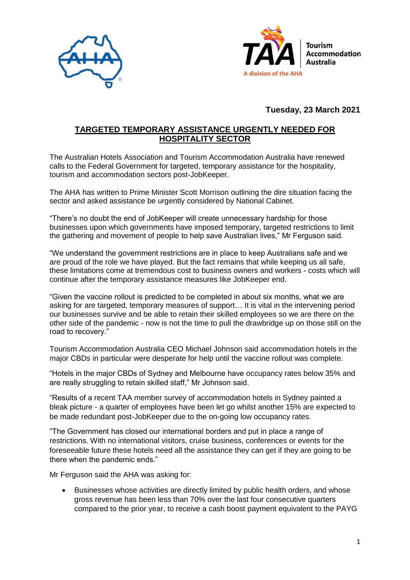



**Tuesday, 23 March 2021**

## **TARGETED TEMPORARY ASSISTANCE URGENTLY NEEDED FOR HOSPITALITY SECTOR**

The Australian Hotels Association and Tourism Accommodation Australia have renewed calls to the Federal Government for targeted, temporary assistance for the hospitality, tourism and accommodation sectors post-JobKeeper.

The AHA has written to Prime Minister Scott Morrison outlining the dire situation facing the sector and asked assistance be urgently considered by National Cabinet.

"There's no doubt the end of JobKeeper will create unnecessary hardship for those businesses upon which governments have imposed temporary, targeted restrictions to limit the gathering and movement of people to help save Australian lives," Mr Ferguson said.

"We understand the government restrictions are in place to keep Australians safe and we are proud of the role we have played. But the fact remains that while keeping us all safe, these limitations come at tremendous cost to business owners and workers - costs which will continue after the temporary assistance measures like JobKeeper end.

"Given the vaccine rollout is predicted to be completed in about six months, what we are asking for are targeted, temporary measures of support… It is vital in the intervening period our businesses survive and be able to retain their skilled employees so we are there on the other side of the pandemic - now is not the time to pull the drawbridge up on those still on the road to recovery."

Tourism Accommodation Australia CEO Michael Johnson said accommodation hotels in the major CBDs in particular were desperate for help until the vaccine rollout was complete.

"Hotels in the major CBDs of Sydney and Melbourne have occupancy rates below 35% and are really struggling to retain skilled staff," Mr Johnson said.

"Results of a recent TAA member survey of accommodation hotels in Sydney painted a bleak picture - a quarter of employees have been let go whilst another 15% are expected to be made redundant post-JobKeeper due to the on-going low occupancy rates.

"The Government has closed our international borders and put in place a range of restrictions. With no international visitors, cruise business, conferences or events for the foreseeable future these hotels need all the assistance they can get if they are going to be there when the pandemic ends."

Mr Ferguson said the AHA was asking for:

 Businesses whose activities are directly limited by public health orders, and whose gross revenue has been less than 70% over the last four consecutive quarters compared to the prior year, to receive a cash boost payment equivalent to the PAYG